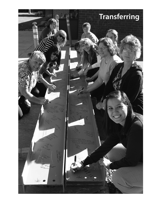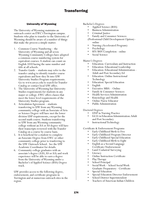# University of Wyoming

The University of Wyoming maintains an outreach center on EWC's Torrington campus. Students who plan to transfer to the University of Wyoming should be aware of a number of things that make the process a simple matter.

- 1. Common Course Numbering the University of Wyoming and all seven Wyoming Community Colleges have adopted a common course numbering system for equivalent courses. A student can count on English 1010 having the same number and title at all schools.
- 2. Transfer Guide students may refer to the transfer catalog to identify transfer course equivalents and how they fit into UW University Studies Program requirements. Go to www.uwyo.edu to search for Transfer Catalog or contact local UW office.
- 3. The University of Wyoming has University Studies requirements for students in any major or college. EWC offers classes that meet the lower level requirements of the University Studies program.
- 4. Articulation Agreement students transferring to UW from any Wyoming community college with an Associate of Arts or Science Degree will have met the lower division USP requirements, except for the second math course. Students transferring to UW from any Wyoming community college without an AA or AS degree will have their transcripts reviewed with the Transfer Catalog on a course by course basis.
- 5. It is beneficial for a student to complete an Associate Degree from EWC or other community college prior to tranferring to the UW Outreach School. See the UW Academic Coordinator for details.
- 6. Community college graduates with an associate's degree (AAS, AS or AA) and work experience will be able to earn a degree from the University of Wyoming under a Bachelor's of Applied Science (BAS) Degree track.

UW provides access to the following degree, endorsement, and certificate programs in Torrington and at numerous outreach sites in the region.

- 
- 
- 
- 

Bachelor's Degrees • Applied Science (BAS) • Business Administration • Criminal Justice • Family and Consumer Sciences (Professional Child Development Option) -

- online<br>• Nursing (Accelerated Program)<br>• Psychology<br>• RN/BSN Completion online<br>• Social Science
- 
- 
- 

- Master's Degrees Education: Curriculum and Instruction Education: Educational Leadership Education: Educational Administration
	-
	-
	- Adult and Post-Secondary Ed<br>
	Education: Online Instructional<br>
	Technology<br>
	Education: Special Education<br>
	English<br>
	Executive MBA Online<br>
	Family & Consumer Sciences<br>
	Health Services Administration<br>
	Kinesiology and Health<br>
	O
	-
	-
	-
	-
	-
	-
	-
	-

## Doctoral Degrees

- DNP in Nursing Practice
- Ed.D. in Education Administration: Adult and Post Secondary
- Instructional Technology

Certificate & Endorsement Programs

- Early Childhood Birth to Five
- Early Childhood Program Director Early Childhood Special Education
- 
- Early Childhood Birth to Eight
- English as a Second Language Certificate/Endorsement
- Land/Cadastral Surveying
- Literacy
- Online Instruction Certificate
- Play Therapy
- School Principal
- Social Work School Social Work Graduate Preparatory - Certificate
- Special Education
- Special Education Director Endorsement
- School District Superintendent
- Teachers of American Indian Children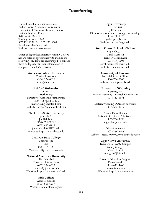# **Transferring**

For additional information contact: Richard Ward, Academic Coordinator University of Wyoming Outreach School Eastern Regional Center 3200 West C Street Torrington, WY 82240 307.532.8371, Fax: 307.532.8308 Email: rward1@uwyo.edu Website: uwyo.edu/outreach

Other colleges that Eastern Wyoming College has articulation agreements with include the following. Students are encouraged to contact these colleges for further information to complete Bachelor's Degrees.

#### **American Public University**

Charles Town, WV (304) 224-6936 study $(a)$ apu.com

#### **Ashford University**

Clinton, IA Mark Young Director of Academic Partnerships (800) 798-0584 x3426 mark.young@ashford.edu Website: http://www.ashford.edu

#### **Black Hills State University**

Spearfish, SD Joe Rainboth (800) 255-BHSU (605) 642-6412 joe.rainboth@BHSU.edu Website: http://www.bhsu.edu

#### **Chadron State College**

Chadron, NE **Staff** (800) CHADRON Website: http://www.csc.edu

#### **National American University**

Tim Schnabel Director of Admissions (605) 394-4939 tschnabel@national.edu Website: http://www.national.edu

### **Olds College**

Alberta, Canada (800) 661-6537 Website: www.oldcollege.ca

#### **Regis University**

Denver, CO Jill Garber Director of Community College Partnerships (303) 458-4326 jgarber@regis.edu Website: http://regis.edu

#### **South Dakota School of Mines**

Rapid City, SD Carol Racanelli Transfer Coordinator (605) 394-1608 carol.racanelli@sdsmt.edu Website: www.sdsmt.edu

#### **University of Phoenix**

Potential Student Office (866) 766-0766 Website: www.phoenix.edu

### **University of Wyoming** Laramie, WY Eastern Wyoming Outreach Coordinator (307) 532-8371

Eastern Wyoming Outreach Secretary (307) 632-8949

Angela DeWolf King Assistant Director of Admissions (307) 766-3895 angelade@uwyo.edu

Education majors (307) 766-3145 Website: http://www.uwyo.edu/education

#### **Upper Iowa University**

Transfers to Fayette Campus Wendy Munger (563) 425-5330 mungerw@uiu.edu

Distance Education Program Dawn Novak (563) 425-5400 novakd@uiu.edu Website: http://www.uiu.edu